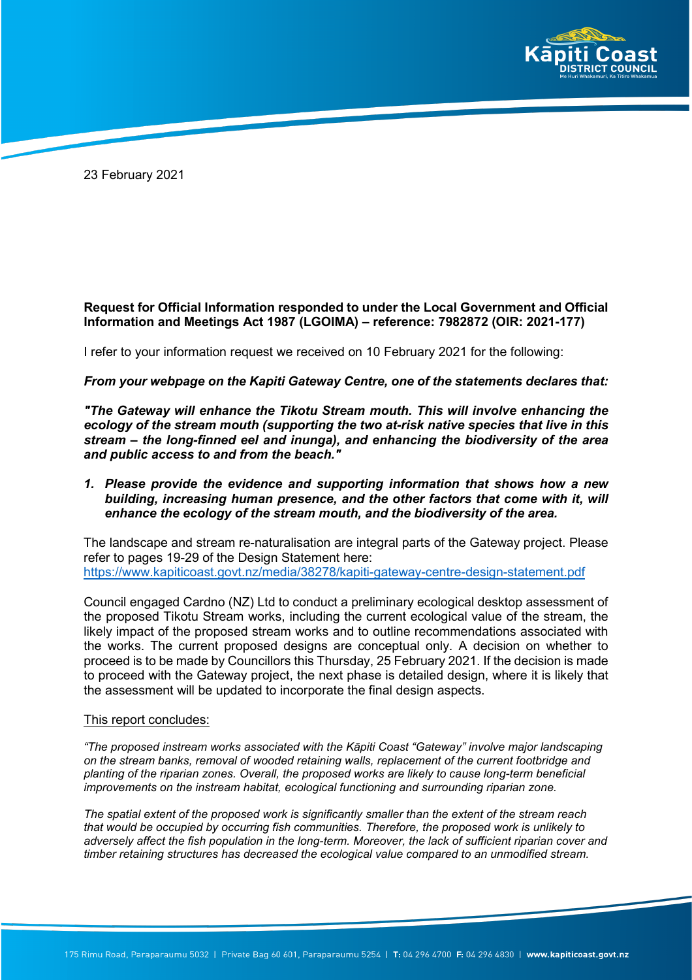

23 February 2021

## **Request for Official Information responded to under the Local Government and Official Information and Meetings Act 1987 (LGOIMA) – reference: 7982872 (OIR: 2021-177)**

I refer to your information request we received on 10 February 2021 for the following:

## *From your webpage on the Kapiti Gateway Centre, one of the statements declares that:*

*"The Gateway will enhance the Tikotu Stream mouth. This will involve enhancing the ecology of the stream mouth (supporting the two at-risk native species that live in this stream – the long-finned eel and inunga), and enhancing the biodiversity of the area and public access to and from the beach."* 

## *1. Please provide the evidence and supporting information that shows how a new building, increasing human presence, and the other factors that come with it, will enhance the ecology of the stream mouth, and the biodiversity of the area.*

The landscape and stream re-naturalisation are integral parts of the Gateway project. Please refer to pages 19-29 of the Design Statement here: <https://www.kapiticoast.govt.nz/media/38278/kapiti-gateway-centre-design-statement.pdf>

Council engaged Cardno (NZ) Ltd to conduct a preliminary ecological desktop assessment of the proposed Tikotu Stream works, including the current ecological value of the stream, the likely impact of the proposed stream works and to outline recommendations associated with the works. The current proposed designs are conceptual only. A decision on whether to proceed is to be made by Councillors this Thursday, 25 February 2021. If the decision is made to proceed with the Gateway project, the next phase is detailed design, where it is likely that the assessment will be updated to incorporate the final design aspects.

## This report concludes:

*"The proposed instream works associated with the Kāpiti Coast "Gateway" involve major landscaping on the stream banks, removal of wooded retaining walls, replacement of the current footbridge and planting of the riparian zones. Overall, the proposed works are likely to cause long-term beneficial improvements on the instream habitat, ecological functioning and surrounding riparian zone.*

*The spatial extent of the proposed work is significantly smaller than the extent of the stream reach that would be occupied by occurring fish communities. Therefore, the proposed work is unlikely to adversely affect the fish population in the long-term. Moreover, the lack of sufficient riparian cover and timber retaining structures has decreased the ecological value compared to an unmodified stream.*